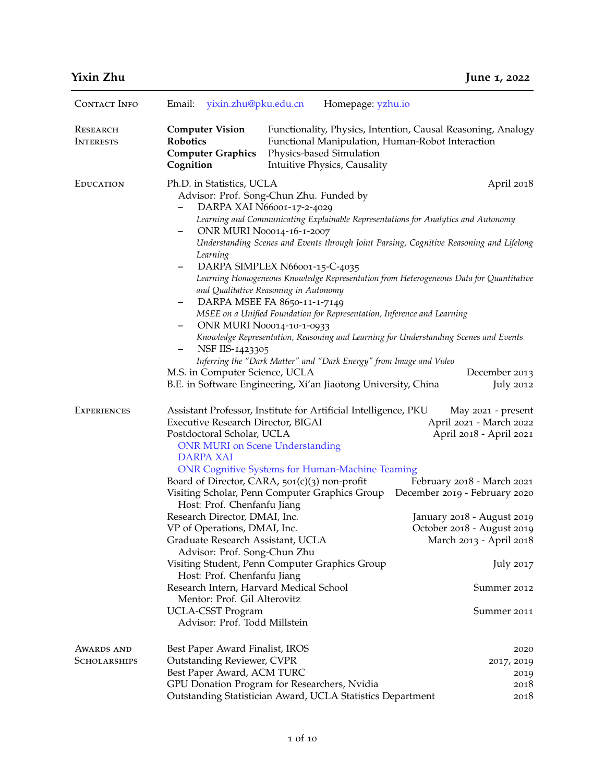|  | <b>Yixin Zhu</b> |
|--|------------------|
|  |                  |

| <b>CONTACT INFO</b>                      | Email: yixin.zhu@pku.edu.cn                                                                                                                                                                                                                                                                                                                                                                                                                                                | Homepage: yzhu.io                                                                                                                                                                                                                                                                                                                                                                                                                                                                                                                                                |                                                                                                                                                                                                                                                                                                         |
|------------------------------------------|----------------------------------------------------------------------------------------------------------------------------------------------------------------------------------------------------------------------------------------------------------------------------------------------------------------------------------------------------------------------------------------------------------------------------------------------------------------------------|------------------------------------------------------------------------------------------------------------------------------------------------------------------------------------------------------------------------------------------------------------------------------------------------------------------------------------------------------------------------------------------------------------------------------------------------------------------------------------------------------------------------------------------------------------------|---------------------------------------------------------------------------------------------------------------------------------------------------------------------------------------------------------------------------------------------------------------------------------------------------------|
| RESEARCH<br><b>INTERESTS</b>             | <b>Computer Vision</b><br><b>Robotics</b><br><b>Computer Graphics</b><br>Cognition                                                                                                                                                                                                                                                                                                                                                                                         | Functional Manipulation, Human-Robot Interaction<br>Physics-based Simulation<br>Intuitive Physics, Causality                                                                                                                                                                                                                                                                                                                                                                                                                                                     | Functionality, Physics, Intention, Causal Reasoning, Analogy                                                                                                                                                                                                                                            |
| <b>EDUCATION</b>                         | Ph.D. in Statistics, UCLA                                                                                                                                                                                                                                                                                                                                                                                                                                                  |                                                                                                                                                                                                                                                                                                                                                                                                                                                                                                                                                                  | April 2018                                                                                                                                                                                                                                                                                              |
|                                          | $\qquad \qquad -$<br>Learning<br>$-$<br>$\overline{\phantom{0}}$<br>-<br>NSF IIS-1423305<br>$\qquad \qquad -$<br>M.S. in Computer Science, UCLA                                                                                                                                                                                                                                                                                                                            | Advisor: Prof. Song-Chun Zhu. Funded by<br>DARPA XAI N66001-17-2-4029<br>Learning and Communicating Explainable Representations for Analytics and Autonomy<br><b>ONR MURI N00014-16-1-2007</b><br>DARPA SIMPLEX N66001-15-C-4035<br>and Qualitative Reasoning in Autonomy<br>DARPA MSEE FA 8650-11-1-7149<br>MSEE on a Unified Foundation for Representation, Inference and Learning<br><b>ONR MURI N00014-10-1-0933</b><br>Inferring the "Dark Matter" and "Dark Energy" from Image and Video<br>B.E. in Software Engineering, Xi'an Jiaotong University, China | Understanding Scenes and Events through Joint Parsing, Cognitive Reasoning and Lifelong<br>Learning Homogeneous Knowledge Representation from Heterogeneous Data for Quantitative<br>Knowledge Representation, Reasoning and Learning for Understanding Scenes and Events<br>December 2013<br>July 2012 |
| <b>EXPERIENCES</b>                       | Executive Research Director, BIGAI<br>Postdoctoral Scholar, UCLA<br><b>ONR MURI on Scene Understanding</b><br><b>DARPA XAI</b><br>Host: Prof. Chenfanfu Jiang<br>Research Director, DMAI, Inc.<br>VP of Operations, DMAI, Inc.<br>Graduate Research Assistant, UCLA<br>Advisor: Prof. Song-Chun Zhu<br>Host: Prof. Chenfanfu Jiang<br>Research Intern, Harvard Medical School<br>Mentor: Prof. Gil Alterovitz<br><b>UCLA-CSST Program</b><br>Advisor: Prof. Todd Millstein | Assistant Professor, Institute for Artificial Intelligence, PKU<br><b>ONR Cognitive Systems for Human-Machine Teaming</b><br>Board of Director, CARA, $501(c)(3)$ non-profit<br>Visiting Scholar, Penn Computer Graphics Group<br>Visiting Student, Penn Computer Graphics Group                                                                                                                                                                                                                                                                                 | May 2021 - present<br>April 2021 - March 2022<br>April 2018 - April 2021<br>February 2018 - March 2021<br>December 2019 - February 2020<br>January 2018 - August 2019<br>October 2018 - August 2019<br>March 2013 - April 2018<br>July 2017<br>Summer 2012<br>Summer 2011                               |
| <b>AWARDS AND</b><br><b>SCHOLARSHIPS</b> | Best Paper Award Finalist, IROS<br><b>Outstanding Reviewer, CVPR</b><br>Best Paper Award, ACM TURC                                                                                                                                                                                                                                                                                                                                                                         | GPU Donation Program for Researchers, Nvidia<br>Outstanding Statistician Award, UCLA Statistics Department                                                                                                                                                                                                                                                                                                                                                                                                                                                       | 2020<br>2017, 2019<br>2019<br>2018<br>2018                                                                                                                                                                                                                                                              |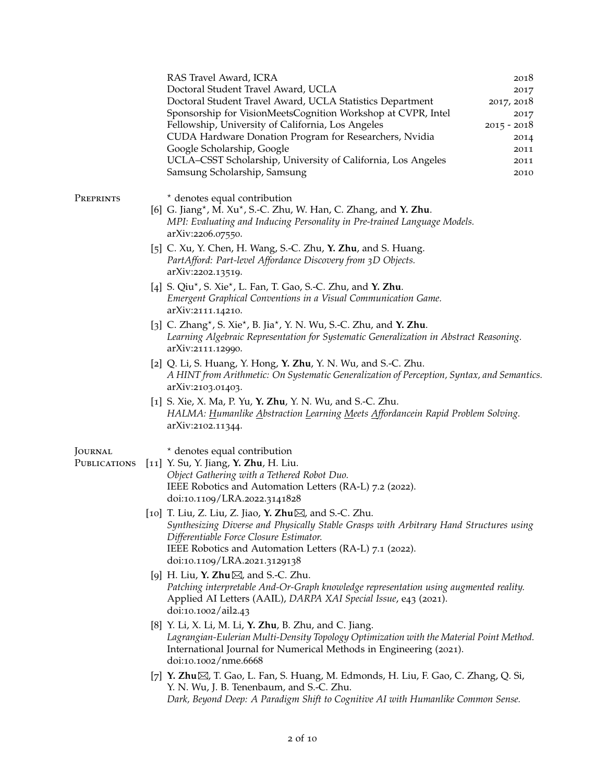|                         |  | RAS Travel Award, ICRA<br>Doctoral Student Travel Award, UCLA<br>Doctoral Student Travel Award, UCLA Statistics Department<br>Sponsorship for VisionMeetsCognition Workshop at CVPR, Intel<br>Fellowship, University of California, Los Angeles<br>CUDA Hardware Donation Program for Researchers, Nvidia<br>Google Scholarship, Google<br>UCLA-CSST Scholarship, University of California, Los Angeles<br>Samsung Scholarship, Samsung | 2018<br>2017<br>2017, 2018<br>2017<br>$2015 - 2018$<br>2014<br>2011<br>2011<br>2010 |
|-------------------------|--|-----------------------------------------------------------------------------------------------------------------------------------------------------------------------------------------------------------------------------------------------------------------------------------------------------------------------------------------------------------------------------------------------------------------------------------------|-------------------------------------------------------------------------------------|
| PREPRINTS               |  | * denotes equal contribution<br>[6] G. Jiang*, M. Xu*, S.-C. Zhu, W. Han, C. Zhang, and Y. Zhu.<br>MPI: Evaluating and Inducing Personality in Pre-trained Language Models.<br>arXiv:2206.07550.                                                                                                                                                                                                                                        |                                                                                     |
|                         |  | [5] C. Xu, Y. Chen, H. Wang, S.-C. Zhu, Y. Zhu, and S. Huang.<br>PartAfford: Part-level Affordance Discovery from 3D Objects.<br>arXiv:2202.13519.                                                                                                                                                                                                                                                                                      |                                                                                     |
|                         |  | [4] S. Qiu <sup>*</sup> , S. Xie <sup>*</sup> , L. Fan, T. Gao, S.-C. Zhu, and <b>Y. Zhu</b> .<br>Emergent Graphical Conventions in a Visual Communication Game.<br>arXiv:2111.14210.                                                                                                                                                                                                                                                   |                                                                                     |
|                         |  | [3] C. Zhang*, S. Xie*, B. Jia*, Y. N. Wu, S.-C. Zhu, and Y. Zhu.<br>Learning Algebraic Representation for Systematic Generalization in Abstract Reasoning.<br>arXiv:2111.12990.                                                                                                                                                                                                                                                        |                                                                                     |
|                         |  | [2] Q. Li, S. Huang, Y. Hong, Y. Zhu, Y. N. Wu, and S.-C. Zhu.<br>A HINT from Arithmetic: On Systematic Generalization of Perception, Syntax, and Semantics.<br>arXiv:2103.01403.                                                                                                                                                                                                                                                       |                                                                                     |
|                         |  | [1] S. Xie, X. Ma, P. Yu, Y. Zhu, Y. N. Wu, and S.-C. Zhu.<br>HALMA: Humanlike Abstraction Learning Meets Affordancein Rapid Problem Solving.<br>arXiv:2102.11344.                                                                                                                                                                                                                                                                      |                                                                                     |
| JOURNAL<br>PUBLICATIONS |  | * denotes equal contribution<br>[11] Y. Su, Y. Jiang, Y. Zhu, H. Liu.<br>Object Gathering with a Tethered Robot Duo.<br>IEEE Robotics and Automation Letters (RA-L) 7.2 (2022).<br>doi:10.1109/LRA.2022.3141828                                                                                                                                                                                                                         |                                                                                     |
|                         |  | [10] T. Liu, Z. Liu, Z. Jiao, Y. Zhu⊠, and S.-C. Zhu.<br>Synthesizing Diverse and Physically Stable Grasps with Arbitrary Hand Structures using<br>Differentiable Force Closure Estimator.<br>IEEE Robotics and Automation Letters (RA-L) 7.1 (2022).<br>doi:10.1109/LRA.2021.3129138                                                                                                                                                   |                                                                                     |
|                         |  | [9] H. Liu, Y. Zhu $\boxtimes$ , and S.-C. Zhu.<br>Patching interpretable And-Or-Graph knowledge representation using augmented reality.<br>Applied AI Letters (AAIL), DARPA XAI Special Issue, e43 (2021).<br>doi:10.1002/ail2.43                                                                                                                                                                                                      |                                                                                     |
|                         |  | [8] Y. Li, X. Li, M. Li, Y. Zhu, B. Zhu, and C. Jiang.<br>Lagrangian-Eulerian Multi-Density Topology Optimization with the Material Point Method.<br>International Journal for Numerical Methods in Engineering (2021).<br>doi:10.1002/nme.6668                                                                                                                                                                                         |                                                                                     |
|                         |  | [7] Y. Zhu $\boxtimes$ , T. Gao, L. Fan, S. Huang, M. Edmonds, H. Liu, F. Gao, C. Zhang, Q. Si,<br>Y. N. Wu, J. B. Tenenbaum, and S.-C. Zhu.<br>Dark, Beyond Deep: A Paradigm Shift to Cognitive AI with Humanlike Common Sense.                                                                                                                                                                                                        |                                                                                     |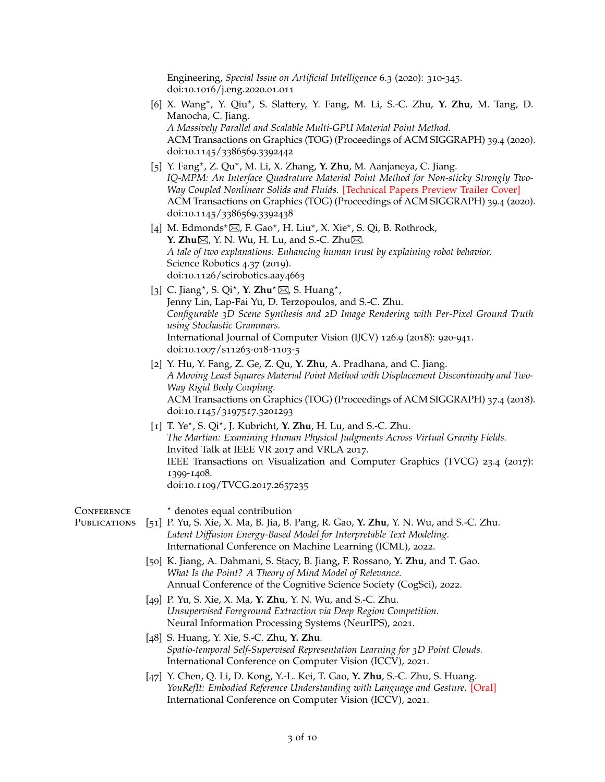Engineering, *Special Issue on Artificial Intelligence* 6.3 (2020): 310-345. doi:10.1016/j.eng.2020.01.011

- [6] X. Wang*<sup>⋆</sup>* , Y. Qiu*<sup>⋆</sup>* , S. Slattery, Y. Fang, M. Li, S.-C. Zhu, **Y. Zhu**, M. Tang, D. Manocha, C. Jiang. *A Massively Parallel and Scalable Multi-GPU Material Point Method.* ACM Transactions on Graphics (TOG) (Proceedings of ACM SIGGRAPH) 39.4 (2020). doi:10.1145/3386569.3392442
- [5] Y. Fang*<sup>⋆</sup>* , Z. Qu*<sup>⋆</sup>* , M. Li, X. Zhang, **Y. Zhu**, M. Aanjaneya, C. Jiang. *IQ-MPM: An Interface Quadrature Material Point Method for Non-sticky Strongly Two-Way Coupled Nonlinear Solids and Fluids.* [Technical Papers Preview Trailer Cover] ACM Transactions on Graphics (TOG) (Proceedings of ACM SIGGRAPH) 39.4 (2020). doi:10.1145/3386569.3392438
- [4] M. Edmonds<sup>★</sup>⊠, F. Gao<sup>★</sup>, H. Liu<sup>\*</sup>, X. Xie<sup>\*</sup>, S. Qi, B. Rothrock, **Y. Zhu** $\boxtimes$ , Y. N. Wu, H. Lu, and S.-C. Zhu $\boxtimes$ . *A tale of two explanations: Enhancing human trust by explaining robot behavior.* Science Robotics 4.37 (2019). doi:10.1126/scirobotics.aay4663
- [3] C. Jiang*<sup>⋆</sup>* , S. Qi*<sup>⋆</sup>* , **Y. Zhu***<sup>⋆</sup>* , S. Huang*<sup>⋆</sup>* , Jenny Lin, Lap-Fai Yu, D. Terzopoulos, and S.-C. Zhu. *Configurable 3D Scene Synthesis and 2D Image Rendering with Per-Pixel Ground Truth using Stochastic Grammars.* International Journal of Computer Vision (IJCV) 126.9 (2018): 920-941. doi:10.1007/s11263-018-1103-5
- [2] Y. Hu, Y. Fang, Z. Ge, Z. Qu, **Y. Zhu**, A. Pradhana, and C. Jiang. *A Moving Least Squares Material Point Method with Displacement Discontinuity and Two-Way Rigid Body Coupling.* ACM Transactions on Graphics (TOG) (Proceedings of ACM SIGGRAPH) 37.4 (2018). doi:10.1145/3197517.3201293
- [1] T. Ye*<sup>⋆</sup>* , S. Qi*<sup>⋆</sup>* , J. Kubricht, **Y. Zhu**, H. Lu, and S.-C. Zhu. *The Martian: Examining Human Physical Judgments Across Virtual Gravity Fields.* Invited Talk at IEEE VR 2017 and VRLA 2017. IEEE Transactions on Visualization and Computer Graphics (TVCG) 23.4 (2017): 1399-1408. doi:10.1109/TVCG.2017.2657235

**CONFERENCE** *<sup>⋆</sup>* denotes equal contribution

Publications [51] P. Yu, S. Xie, X. Ma, B. Jia, B. Pang, R. Gao, **Y. Zhu**, Y. N. Wu, and S.-C. Zhu. *Latent Diffusion Energy-Based Model for Interpretable Text Modeling.* International Conference on Machine Learning (ICML), 2022.

- [50] K. Jiang, A. Dahmani, S. Stacy, B. Jiang, F. Rossano, **Y. Zhu**, and T. Gao. *What Is the Point? A Theory of Mind Model of Relevance.* Annual Conference of the Cognitive Science Society (CogSci), 2022.
- [49] P. Yu, S. Xie, X. Ma, **Y. Zhu**, Y. N. Wu, and S.-C. Zhu. *Unsupervised Foreground Extraction via Deep Region Competition.* Neural Information Processing Systems (NeurIPS), 2021.
- [48] S. Huang, Y. Xie, S.-C. Zhu, **Y. Zhu**. *Spatio-temporal Self-Supervised Representation Learning for 3D Point Clouds.* International Conference on Computer Vision (ICCV), 2021.
- [47] Y. Chen, Q. Li, D. Kong, Y.-L. Kei, T. Gao, **Y. Zhu**, S.-C. Zhu, S. Huang. *YouRefIt: Embodied Reference Understanding with Language and Gesture.* [Oral] International Conference on Computer Vision (ICCV), 2021.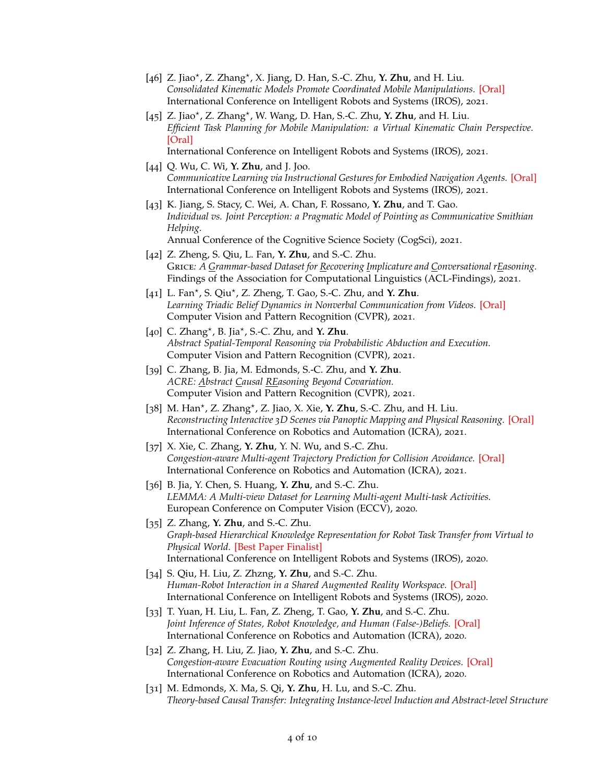- [46] Z. Jiao*<sup>⋆</sup>* , Z. Zhang*<sup>⋆</sup>* , X. Jiang, D. Han, S.-C. Zhu, **Y. Zhu**, and H. Liu. *Consolidated Kinematic Models Promote Coordinated Mobile Manipulations.* [Oral] International Conference on Intelligent Robots and Systems (IROS), 2021.
- [45] Z. Jiao*<sup>⋆</sup>* , Z. Zhang*<sup>⋆</sup>* , W. Wang, D. Han, S.-C. Zhu, **Y. Zhu**, and H. Liu. *Efficient Task Planning for Mobile Manipulation: a Virtual Kinematic Chain Perspective.* [Oral]
	- International Conference on Intelligent Robots and Systems (IROS), 2021.
- [44] Q. Wu, C. Wi, **Y. Zhu**, and J. Joo. *Communicative Learning via Instructional Gestures for Embodied Navigation Agents.* [Oral] International Conference on Intelligent Robots and Systems (IROS), 2021.
- [43] K. Jiang, S. Stacy, C. Wei, A. Chan, F. Rossano, **Y. Zhu**, and T. Gao. *Individual vs. Joint Perception: a Pragmatic Model of Pointing as Communicative Smithian Helping.* Annual Conference of the Cognitive Science Society (CogSci), 2021.
- [42] Z. Zheng, S. Qiu, L. Fan, **Y. Zhu**, and S.-C. Zhu. Grice*: A Grammar-based Dataset for Recovering Implicature and Conversational rEasoning.* Findings of the Association for Computational Linguistics (ACL-Findings), 2021.
- [41] L. Fan*<sup>⋆</sup>* , S. Qiu*<sup>⋆</sup>* , Z. Zheng, T. Gao, S.-C. Zhu, and **Y. Zhu**. *Learning Triadic Belief Dynamics in Nonverbal Communication from Videos.* [Oral] Computer Vision and Pattern Recognition (CVPR), 2021.
- [40] C. Zhang*<sup>⋆</sup>* , B. Jia*<sup>⋆</sup>* , S.-C. Zhu, and **Y. Zhu**. *Abstract Spatial-Temporal Reasoning via Probabilistic Abduction and Execution.* Computer Vision and Pattern Recognition (CVPR), 2021.
- [39] C. Zhang, B. Jia, M. Edmonds, S.-C. Zhu, and **Y. Zhu**. *ACRE: Abstract Causal REasoning Beyond Covariation.* Computer Vision and Pattern Recognition (CVPR), 2021.
- [38] M. Han*<sup>⋆</sup>* , Z. Zhang*<sup>⋆</sup>* , Z. Jiao, X. Xie, **Y. Zhu**, S.-C. Zhu, and H. Liu. *Reconstructing Interactive 3D Scenes via Panoptic Mapping and Physical Reasoning.* [Oral] International Conference on Robotics and Automation (ICRA), 2021.
- [37] X. Xie, C. Zhang, **Y. Zhu**, Y. N. Wu, and S.-C. Zhu. *Congestion-aware Multi-agent Trajectory Prediction for Collision Avoidance.* [Oral] International Conference on Robotics and Automation (ICRA), 2021.
- [36] B. Jia, Y. Chen, S. Huang, **Y. Zhu**, and S.-C. Zhu. *LEMMA: A Multi-view Dataset for Learning Multi-agent Multi-task Activities.* European Conference on Computer Vision (ECCV), 2020.
- [35] Z. Zhang, **Y. Zhu**, and S.-C. Zhu. *Graph-based Hierarchical Knowledge Representation for Robot Task Transfer from Virtual to Physical World.* [Best Paper Finalist] International Conference on Intelligent Robots and Systems (IROS), 2020.
- [34] S. Qiu, H. Liu, Z. Zhzng, **Y. Zhu**, and S.-C. Zhu. *Human-Robot Interaction in a Shared Augmented Reality Workspace.* [Oral] International Conference on Intelligent Robots and Systems (IROS), 2020.
- [33] T. Yuan, H. Liu, L. Fan, Z. Zheng, T. Gao, **Y. Zhu**, and S.-C. Zhu. *Joint Inference of States, Robot Knowledge, and Human (False-)Beliefs.* [Oral] International Conference on Robotics and Automation (ICRA), 2020.
- [32] Z. Zhang, H. Liu, Z. Jiao, **Y. Zhu**, and S.-C. Zhu. *Congestion-aware Evacuation Routing using Augmented Reality Devices.* [Oral] International Conference on Robotics and Automation (ICRA), 2020.
- [31] M. Edmonds, X. Ma, S. Qi, **Y. Zhu**, H. Lu, and S.-C. Zhu. *Theory-based Causal Transfer: Integrating Instance-level Induction and Abstract-level Structure*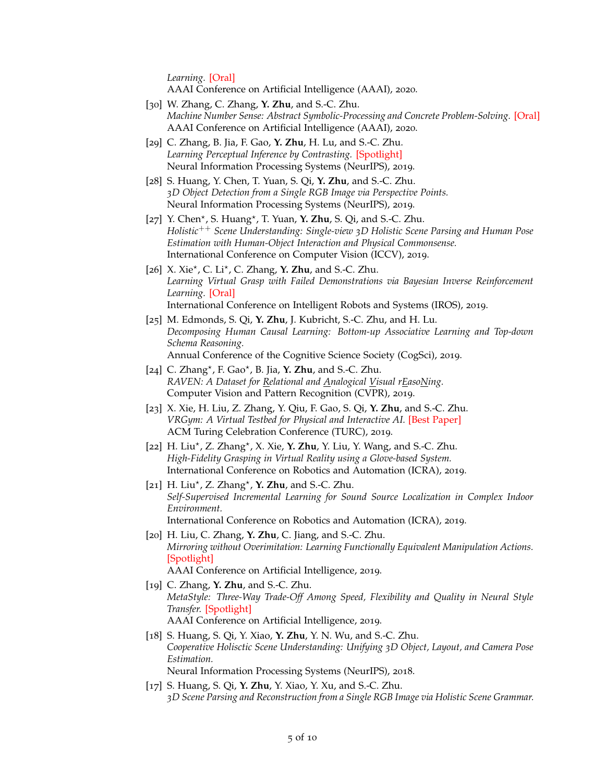*Learning.* [Oral]

AAAI Conference on Artificial Intelligence (AAAI), 2020.

- [30] W. Zhang, C. Zhang, **Y. Zhu**, and S.-C. Zhu. *Machine Number Sense: Abstract Symbolic-Processing and Concrete Problem-Solving.* [Oral] AAAI Conference on Artificial Intelligence (AAAI), 2020.
- [29] C. Zhang, B. Jia, F. Gao, **Y. Zhu**, H. Lu, and S.-C. Zhu. *Learning Perceptual Inference by Contrasting.* [Spotlight] Neural Information Processing Systems (NeurIPS), 2019.
- [28] S. Huang, Y. Chen, T. Yuan, S. Qi, **Y. Zhu**, and S.-C. Zhu. *3D Object Detection from a Single RGB Image via Perspective Points.* Neural Information Processing Systems (NeurIPS), 2019.
- [27] Y. Chen<sup>\*</sup>, S. Huang<sup>\*</sup>, T. Yuan, **Y. Zhu**, S. Qi, and S.-C. Zhu. *Holistic*++ *Scene Understanding: Single-view 3D Holistic Scene Parsing and Human Pose Estimation with Human-Object Interaction and Physical Commonsense.* International Conference on Computer Vision (ICCV), 2019.
- [26] X. Xie*<sup>⋆</sup>* , C. Li*<sup>⋆</sup>* , C. Zhang, **Y. Zhu**, and S.-C. Zhu. *Learning Virtual Grasp with Failed Demonstrations via Bayesian Inverse Reinforcement Learning.* [Oral] International Conference on Intelligent Robots and Systems (IROS), 2019.
- [25] M. Edmonds, S. Qi, **Y. Zhu**, J. Kubricht, S.-C. Zhu, and H. Lu. *Decomposing Human Causal Learning: Bottom-up Associative Learning and Top-down Schema Reasoning.* Annual Conference of the Cognitive Science Society (CogSci), 2019.
- [24] C. Zhang*<sup>⋆</sup>* , F. Gao*<sup>⋆</sup>* , B. Jia, **Y. Zhu**, and S.-C. Zhu. *RAVEN: A Dataset for Relational and Analogical Visual rEasoNing.* Computer Vision and Pattern Recognition (CVPR), 2019.
- [23] X. Xie, H. Liu, Z. Zhang, Y. Qiu, F. Gao, S. Qi, **Y. Zhu**, and S.-C. Zhu. *VRGym: A Virtual Testbed for Physical and Interactive AI.* [Best Paper] ACM Turing Celebration Conference (TURC), 2019.
- [22] H. Liu*<sup>⋆</sup>* , Z. Zhang*<sup>⋆</sup>* , X. Xie, **Y. Zhu**, Y. Liu, Y. Wang, and S.-C. Zhu. *High-Fidelity Grasping in Virtual Reality using a Glove-based System.* International Conference on Robotics and Automation (ICRA), 2019.
- [21] H. Liu*<sup>⋆</sup>* , Z. Zhang*<sup>⋆</sup>* , **Y. Zhu**, and S.-C. Zhu. *Self-Supervised Incremental Learning for Sound Source Localization in Complex Indoor Environment.* International Conference on Robotics and Automation (ICRA), 2019.
- [20] H. Liu, C. Zhang, **Y. Zhu**, C. Jiang, and S.-C. Zhu. *Mirroring without Overimitation: Learning Functionally Equivalent Manipulation Actions.* [Spotlight] AAAI Conference on Artificial Intelligence, 2019.
- [19] C. Zhang, **Y. Zhu**, and S.-C. Zhu. *MetaStyle: Three-Way Trade-Off Among Speed, Flexibility and Quality in Neural Style Transfer.* [Spotlight] AAAI Conference on Artificial Intelligence, 2019.
- [18] S. Huang, S. Qi, Y. Xiao, **Y. Zhu**, Y. N. Wu, and S.-C. Zhu. *Cooperative Holisctic Scene Understanding: Unifying 3D Object, Layout, and Camera Pose Estimation.* Neural Information Processing Systems (NeurIPS), 2018.
- [17] S. Huang, S. Qi, **Y. Zhu**, Y. Xiao, Y. Xu, and S.-C. Zhu. *3D Scene Parsing and Reconstruction from a Single RGB Image via Holistic Scene Grammar.*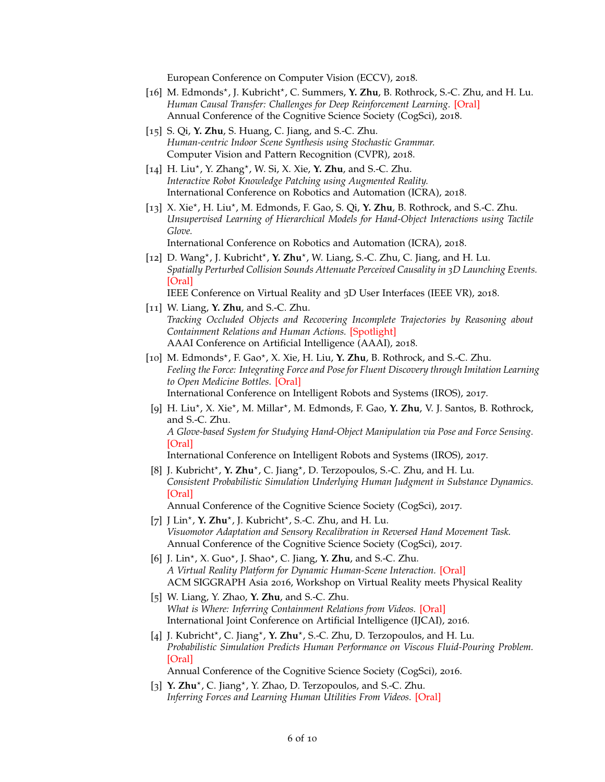European Conference on Computer Vision (ECCV), 2018.

- [16] M. Edmonds<sup>\*</sup>, J. Kubricht<sup>\*</sup>, C. Summers, **Y. Zhu**, B. Rothrock, S.-C. Zhu, and H. Lu. *Human Causal Transfer: Challenges for Deep Reinforcement Learning.* [Oral] Annual Conference of the Cognitive Science Society (CogSci), 2018.
- [15] S. Qi, **Y. Zhu**, S. Huang, C. Jiang, and S.-C. Zhu. *Human-centric Indoor Scene Synthesis using Stochastic Grammar.* Computer Vision and Pattern Recognition (CVPR), 2018.
- [14] H. Liu*<sup>⋆</sup>* , Y. Zhang*<sup>⋆</sup>* , W. Si, X. Xie, **Y. Zhu**, and S.-C. Zhu. *Interactive Robot Knowledge Patching using Augmented Reality.* International Conference on Robotics and Automation (ICRA), 2018.
- [13] X. Xie*<sup>⋆</sup>* , H. Liu*<sup>⋆</sup>* , M. Edmonds, F. Gao, S. Qi, **Y. Zhu**, B. Rothrock, and S.-C. Zhu. *Unsupervised Learning of Hierarchical Models for Hand-Object Interactions using Tactile Glove.* International Conference on Robotics and Automation (ICRA), 2018.
- [12] D. Wang<sup>\*</sup>, J. Kubricht<sup>\*</sup>, **Y. Zhu**<sup>\*</sup>, W. Liang, S.-C. Zhu, C. Jiang, and H. Lu. *Spatially Perturbed Collision Sounds Attenuate Perceived Causality in 3D Launching Events.* [Oral]
	- IEEE Conference on Virtual Reality and 3D User Interfaces (IEEE VR), 2018.
- [11] W. Liang, **Y. Zhu**, and S.-C. Zhu. *Tracking Occluded Objects and Recovering Incomplete Trajectories by Reasoning about Containment Relations and Human Actions.* [Spotlight] AAAI Conference on Artificial Intelligence (AAAI), 2018.
- [10] M. Edmonds*<sup>⋆</sup>* , F. Gao*<sup>⋆</sup>* , X. Xie, H. Liu, **Y. Zhu**, B. Rothrock, and S.-C. Zhu. *Feeling the Force: Integrating Force and Pose for Fluent Discovery through Imitation Learning to Open Medicine Bottles.* [Oral] International Conference on Intelligent Robots and Systems (IROS), 2017.
	- [9] H. Liu<sup>\*</sup>, X. Xie<sup>\*</sup>, M. Millar<sup>\*</sup>, M. Edmonds, F. Gao, **Y. Zhu**, V. J. Santos, B. Rothrock, and S.-C. Zhu. *A Glove-based System for Studying Hand-Object Manipulation via Pose and Force Sensing.* [Oral]

International Conference on Intelligent Robots and Systems (IROS), 2017.

[8] J. Kubricht<sup>\*</sup>, **Y. Zhu**<sup>\*</sup>, C. Jiang<sup>\*</sup>, D. Terzopoulos, S.-C. Zhu, and H. Lu. *Consistent Probabilistic Simulation Underlying Human Judgment in Substance Dynamics.* [Oral]

Annual Conference of the Cognitive Science Society (CogSci), 2017.

- [7] J Lin*<sup>⋆</sup>* , **Y. Zhu***<sup>⋆</sup>* , J. Kubricht*<sup>⋆</sup>* , S.-C. Zhu, and H. Lu. *Visuomotor Adaptation and Sensory Recalibration in Reversed Hand Movement Task.* Annual Conference of the Cognitive Science Society (CogSci), 2017.
- [6] J. Lin*<sup>⋆</sup>* , X. Guo*<sup>⋆</sup>* , J. Shao*<sup>⋆</sup>* , C. Jiang, **Y. Zhu**, and S.-C. Zhu. *A Virtual Reality Platform for Dynamic Human-Scene Interaction.* [Oral] ACM SIGGRAPH Asia 2016, Workshop on Virtual Reality meets Physical Reality
- [5] W. Liang, Y. Zhao, **Y. Zhu**, and S.-C. Zhu. *What is Where: Inferring Containment Relations from Videos.* [Oral] International Joint Conference on Artificial Intelligence (IJCAI), 2016.
- [4] J. Kubricht<sup>\*</sup>, C. Jiang<sup>\*</sup>, **Y. Zhu**<sup>\*</sup>, S.-C. Zhu, D. Terzopoulos, and H. Lu. *Probabilistic Simulation Predicts Human Performance on Viscous Fluid-Pouring Problem.* [Oral]

Annual Conference of the Cognitive Science Society (CogSci), 2016.

[3] Y. Zhu<sup>\*</sup>, C. Jiang<sup>\*</sup>, Y. Zhao, D. Terzopoulos, and S.-C. Zhu. *Inferring Forces and Learning Human Utilities From Videos.* [Oral]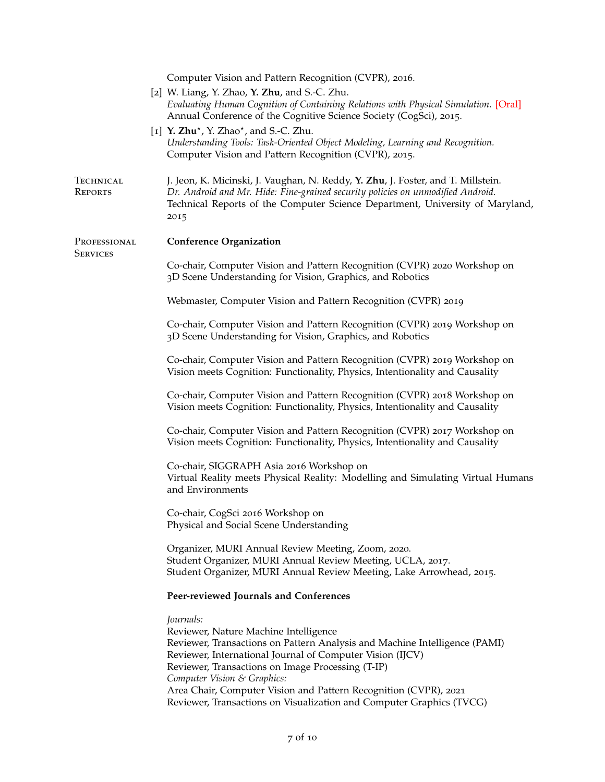| Computer Vision and Pattern Recognition (CVPR), 2016.                                                                                                                                                                                                                                                                                                                                                                         |
|-------------------------------------------------------------------------------------------------------------------------------------------------------------------------------------------------------------------------------------------------------------------------------------------------------------------------------------------------------------------------------------------------------------------------------|
| [2] W. Liang, Y. Zhao, Y. Zhu, and S.-C. Zhu.<br>Evaluating Human Cognition of Containing Relations with Physical Simulation. [Oral]<br>Annual Conference of the Cognitive Science Society (CogSci), 2015.                                                                                                                                                                                                                    |
| [1] Y. Zhu <sup>*</sup> , Y. Zhao <sup>*</sup> , and S.-C. Zhu.<br>Understanding Tools: Task-Oriented Object Modeling, Learning and Recognition.<br>Computer Vision and Pattern Recognition (CVPR), 2015.                                                                                                                                                                                                                     |
| J. Jeon, K. Micinski, J. Vaughan, N. Reddy, Y. Zhu, J. Foster, and T. Millstein.<br>Dr. Android and Mr. Hide: Fine-grained security policies on unmodified Android.<br>Technical Reports of the Computer Science Department, University of Maryland,<br>2015                                                                                                                                                                  |
| <b>Conference Organization</b>                                                                                                                                                                                                                                                                                                                                                                                                |
| Co-chair, Computer Vision and Pattern Recognition (CVPR) 2020 Workshop on<br>3D Scene Understanding for Vision, Graphics, and Robotics                                                                                                                                                                                                                                                                                        |
| Webmaster, Computer Vision and Pattern Recognition (CVPR) 2019                                                                                                                                                                                                                                                                                                                                                                |
| Co-chair, Computer Vision and Pattern Recognition (CVPR) 2019 Workshop on<br>3D Scene Understanding for Vision, Graphics, and Robotics                                                                                                                                                                                                                                                                                        |
| Co-chair, Computer Vision and Pattern Recognition (CVPR) 2019 Workshop on<br>Vision meets Cognition: Functionality, Physics, Intentionality and Causality                                                                                                                                                                                                                                                                     |
| Co-chair, Computer Vision and Pattern Recognition (CVPR) 2018 Workshop on<br>Vision meets Cognition: Functionality, Physics, Intentionality and Causality                                                                                                                                                                                                                                                                     |
| Co-chair, Computer Vision and Pattern Recognition (CVPR) 2017 Workshop on<br>Vision meets Cognition: Functionality, Physics, Intentionality and Causality                                                                                                                                                                                                                                                                     |
| Co-chair, SIGGRAPH Asia 2016 Workshop on<br>Virtual Reality meets Physical Reality: Modelling and Simulating Virtual Humans<br>and Environments                                                                                                                                                                                                                                                                               |
| Co-chair, CogSci 2016 Workshop on<br>Physical and Social Scene Understanding                                                                                                                                                                                                                                                                                                                                                  |
| Organizer, MURI Annual Review Meeting, Zoom, 2020.<br>Student Organizer, MURI Annual Review Meeting, UCLA, 2017.<br>Student Organizer, MURI Annual Review Meeting, Lake Arrowhead, 2015.                                                                                                                                                                                                                                      |
| Peer-reviewed Journals and Conferences                                                                                                                                                                                                                                                                                                                                                                                        |
| Journals:<br>Reviewer, Nature Machine Intelligence<br>Reviewer, Transactions on Pattern Analysis and Machine Intelligence (PAMI)<br>Reviewer, International Journal of Computer Vision (IJCV)<br>Reviewer, Transactions on Image Processing (T-IP)<br>Computer Vision & Graphics:<br>Area Chair, Computer Vision and Pattern Recognition (CVPR), 2021<br>Reviewer, Transactions on Visualization and Computer Graphics (TVCG) |
|                                                                                                                                                                                                                                                                                                                                                                                                                               |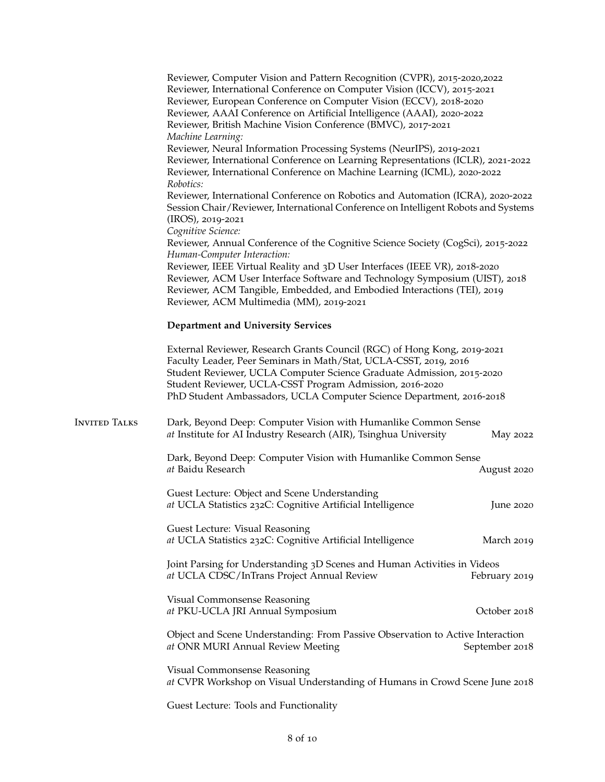|                      | Reviewer, Computer Vision and Pattern Recognition (CVPR), 2015-2020,2022<br>Reviewer, International Conference on Computer Vision (ICCV), 2015-2021<br>Reviewer, European Conference on Computer Vision (ECCV), 2018-2020<br>Reviewer, AAAI Conference on Artificial Intelligence (AAAI), 2020-2022<br>Reviewer, British Machine Vision Conference (BMVC), 2017-2021 |  |
|----------------------|----------------------------------------------------------------------------------------------------------------------------------------------------------------------------------------------------------------------------------------------------------------------------------------------------------------------------------------------------------------------|--|
|                      | Machine Learning:<br>Reviewer, Neural Information Processing Systems (NeurIPS), 2019-2021<br>Reviewer, International Conference on Learning Representations (ICLR), 2021-2022<br>Reviewer, International Conference on Machine Learning (ICML), 2020-2022<br>Robotics:                                                                                               |  |
|                      | Reviewer, International Conference on Robotics and Automation (ICRA), 2020-2022<br>Session Chair/Reviewer, International Conference on Intelligent Robots and Systems<br>(IROS), 2019-2021                                                                                                                                                                           |  |
|                      | Cognitive Science:<br>Reviewer, Annual Conference of the Cognitive Science Society (CogSci), 2015-2022<br>Human-Computer Interaction:                                                                                                                                                                                                                                |  |
|                      | Reviewer, IEEE Virtual Reality and 3D User Interfaces (IEEE VR), 2018-2020<br>Reviewer, ACM User Interface Software and Technology Symposium (UIST), 2018<br>Reviewer, ACM Tangible, Embedded, and Embodied Interactions (TEI), 2019<br>Reviewer, ACM Multimedia (MM), 2019-2021                                                                                     |  |
|                      | <b>Department and University Services</b>                                                                                                                                                                                                                                                                                                                            |  |
|                      | External Reviewer, Research Grants Council (RGC) of Hong Kong, 2019-2021<br>Faculty Leader, Peer Seminars in Math/Stat, UCLA-CSST, 2019, 2016<br>Student Reviewer, UCLA Computer Science Graduate Admission, 2015-2020<br>Student Reviewer, UCLA-CSST Program Admission, 2016-2020<br>PhD Student Ambassadors, UCLA Computer Science Department, 2016-2018           |  |
| <b>INVITED TALKS</b> | Dark, Beyond Deep: Computer Vision with Humanlike Common Sense<br>at Institute for AI Industry Research (AIR), Tsinghua University<br>May 2022                                                                                                                                                                                                                       |  |
|                      | Dark, Beyond Deep: Computer Vision with Humanlike Common Sense<br>at Baidu Research<br>August 2020                                                                                                                                                                                                                                                                   |  |
|                      | Guest Lecture: Object and Scene Understanding<br>at UCLA Statistics 232C: Cognitive Artificial Intelligence<br>June $2020$                                                                                                                                                                                                                                           |  |
|                      | Guest Lecture: Visual Reasoning<br>at UCLA Statistics 232C: Cognitive Artificial Intelligence<br>March 2019                                                                                                                                                                                                                                                          |  |
|                      | Joint Parsing for Understanding 3D Scenes and Human Activities in Videos<br>at UCLA CDSC/InTrans Project Annual Review<br>February 2019                                                                                                                                                                                                                              |  |
|                      | Visual Commonsense Reasoning<br>October 2018<br>at PKU-UCLA JRI Annual Symposium                                                                                                                                                                                                                                                                                     |  |
|                      | Object and Scene Understanding: From Passive Observation to Active Interaction<br>at ONR MURI Annual Review Meeting<br>September 2018                                                                                                                                                                                                                                |  |
|                      | Visual Commonsense Reasoning<br>at CVPR Workshop on Visual Understanding of Humans in Crowd Scene June 2018                                                                                                                                                                                                                                                          |  |
|                      | Guest Lecture: Tools and Functionality                                                                                                                                                                                                                                                                                                                               |  |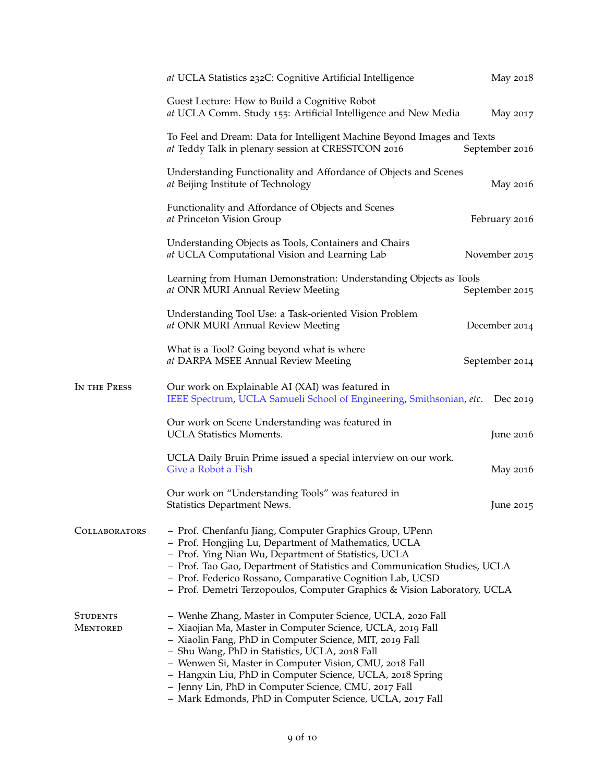|                             | at UCLA Statistics 232C: Cognitive Artificial Intelligence                                                                                                                                                                                                                                                                                                                                                                                                                       | May 2018       |
|-----------------------------|----------------------------------------------------------------------------------------------------------------------------------------------------------------------------------------------------------------------------------------------------------------------------------------------------------------------------------------------------------------------------------------------------------------------------------------------------------------------------------|----------------|
|                             | Guest Lecture: How to Build a Cognitive Robot<br>at UCLA Comm. Study 155: Artificial Intelligence and New Media                                                                                                                                                                                                                                                                                                                                                                  | May 2017       |
|                             | To Feel and Dream: Data for Intelligent Machine Beyond Images and Texts<br>at Teddy Talk in plenary session at CRESSTCON 2016                                                                                                                                                                                                                                                                                                                                                    | September 2016 |
|                             | Understanding Functionality and Affordance of Objects and Scenes<br>at Beijing Institute of Technology                                                                                                                                                                                                                                                                                                                                                                           | May 2016       |
|                             | Functionality and Affordance of Objects and Scenes<br>at Princeton Vision Group                                                                                                                                                                                                                                                                                                                                                                                                  | February 2016  |
|                             | Understanding Objects as Tools, Containers and Chairs<br>at UCLA Computational Vision and Learning Lab                                                                                                                                                                                                                                                                                                                                                                           | November 2015  |
|                             | Learning from Human Demonstration: Understanding Objects as Tools<br>at ONR MURI Annual Review Meeting                                                                                                                                                                                                                                                                                                                                                                           | September 2015 |
|                             | Understanding Tool Use: a Task-oriented Vision Problem<br>at ONR MURI Annual Review Meeting                                                                                                                                                                                                                                                                                                                                                                                      | December 2014  |
|                             | What is a Tool? Going beyond what is where<br>at DARPA MSEE Annual Review Meeting                                                                                                                                                                                                                                                                                                                                                                                                | September 2014 |
| IN THE PRESS                | Our work on Explainable AI (XAI) was featured in<br>IEEE Spectrum, UCLA Samueli School of Engineering, Smithsonian, etc.                                                                                                                                                                                                                                                                                                                                                         | Dec 2019       |
|                             | Our work on Scene Understanding was featured in<br><b>UCLA Statistics Moments.</b>                                                                                                                                                                                                                                                                                                                                                                                               | June 2016      |
|                             | UCLA Daily Bruin Prime issued a special interview on our work.<br>Give a Robot a Fish                                                                                                                                                                                                                                                                                                                                                                                            | May 2016       |
|                             | Our work on "Understanding Tools" was featured in<br><b>Statistics Department News.</b>                                                                                                                                                                                                                                                                                                                                                                                          | June $2015$    |
| <b>COLLABORATORS</b>        | - Prof. Chenfanfu Jiang, Computer Graphics Group, UPenn<br>- Prof. Hongjing Lu, Department of Mathematics, UCLA<br>- Prof. Ying Nian Wu, Department of Statistics, UCLA<br>- Prof. Tao Gao, Department of Statistics and Communication Studies, UCLA<br>- Prof. Federico Rossano, Comparative Cognition Lab, UCSD<br>- Prof. Demetri Terzopoulos, Computer Graphics & Vision Laboratory, UCLA                                                                                    |                |
| <b>STUDENTS</b><br>MENTORED | - Wenhe Zhang, Master in Computer Science, UCLA, 2020 Fall<br>- Xiaojian Ma, Master in Computer Science, UCLA, 2019 Fall<br>- Xiaolin Fang, PhD in Computer Science, MIT, 2019 Fall<br>- Shu Wang, PhD in Statistics, UCLA, 2018 Fall<br>- Wenwen Si, Master in Computer Vision, CMU, 2018 Fall<br>- Hangxin Liu, PhD in Computer Science, UCLA, 2018 Spring<br>- Jenny Lin, PhD in Computer Science, CMU, 2017 Fall<br>- Mark Edmonds, PhD in Computer Science, UCLA, 2017 Fall |                |